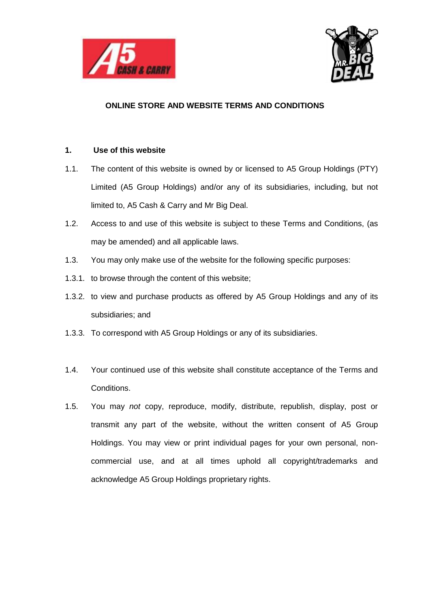



# **ONLINE STORE AND WEBSITE TERMS AND CONDITIONS**

## **1. Use of this website**

- 1.1. The content of this website is owned by or licensed to A5 Group Holdings (PTY) Limited (A5 Group Holdings) and/or any of its subsidiaries, including, but not limited to, A5 Cash & Carry and Mr Big Deal.
- 1.2. Access to and use of this website is subject to these Terms and Conditions, (as may be amended) and all applicable laws.
- 1.3. You may only make use of the website for the following specific purposes:
- 1.3.1. to browse through the content of this website;
- 1.3.2. to view and purchase products as offered by A5 Group Holdings and any of its subsidiaries; and
- 1.3.3. To correspond with A5 Group Holdings or any of its subsidiaries.
- 1.4. Your continued use of this website shall constitute acceptance of the Terms and Conditions.
- 1.5. You may *not* copy, reproduce, modify, distribute, republish, display, post or transmit any part of the website, without the written consent of A5 Group Holdings. You may view or print individual pages for your own personal, noncommercial use, and at all times uphold all copyright/trademarks and acknowledge A5 Group Holdings proprietary rights.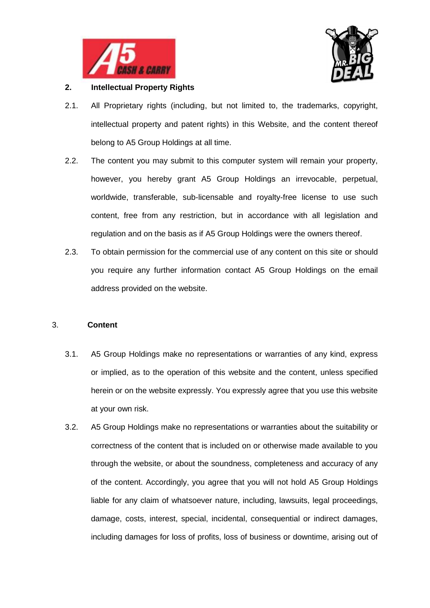



# **2. Intellectual Property Rights**

- 2.1. All Proprietary rights (including, but not limited to, the trademarks, copyright, intellectual property and patent rights) in this Website, and the content thereof belong to A5 Group Holdings at all time.
- 2.2. The content you may submit to this computer system will remain your property, however, you hereby grant A5 Group Holdings an irrevocable, perpetual, worldwide, transferable, sub-licensable and royalty-free license to use such content, free from any restriction, but in accordance with all legislation and regulation and on the basis as if A5 Group Holdings were the owners thereof.
- 2.3. To obtain permission for the commercial use of any content on this site or should you require any further information contact A5 Group Holdings on the email address provided on the website.

# 3. **Content**

- 3.1. A5 Group Holdings make no representations or warranties of any kind, express or implied, as to the operation of this website and the content, unless specified herein or on the website expressly. You expressly agree that you use this website at your own risk.
- 3.2. A5 Group Holdings make no representations or warranties about the suitability or correctness of the content that is included on or otherwise made available to you through the website, or about the soundness, completeness and accuracy of any of the content. Accordingly, you agree that you will not hold A5 Group Holdings liable for any claim of whatsoever nature, including, lawsuits, legal proceedings, damage, costs, interest, special, incidental, consequential or indirect damages, including damages for loss of profits, loss of business or downtime, arising out of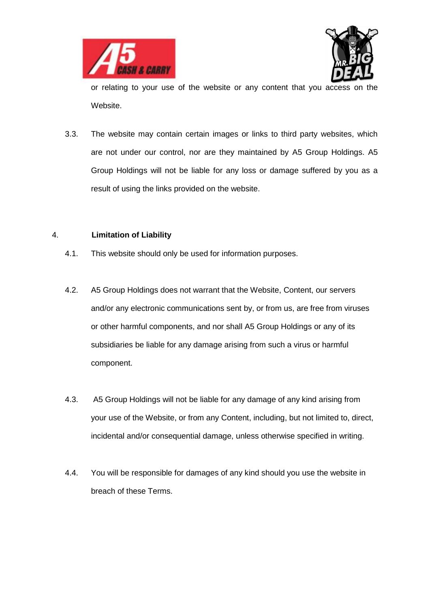



or relating to your use of the website or any content that you access on the Website.

3.3. The website may contain certain images or links to third party websites, which are not under our control, nor are they maintained by A5 Group Holdings. A5 Group Holdings will not be liable for any loss or damage suffered by you as a result of using the links provided on the website.

#### 4. **Limitation of Liability**

- 4.1. This website should only be used for information purposes.
- 4.2. A5 Group Holdings does not warrant that the Website, Content, our servers and/or any electronic communications sent by, or from us, are free from viruses or other harmful components, and nor shall A5 Group Holdings or any of its subsidiaries be liable for any damage arising from such a virus or harmful component.
- 4.3. A5 Group Holdings will not be liable for any damage of any kind arising from your use of the Website, or from any Content, including, but not limited to, direct, incidental and/or consequential damage, unless otherwise specified in writing.
- 4.4. You will be responsible for damages of any kind should you use the website in breach of these Terms.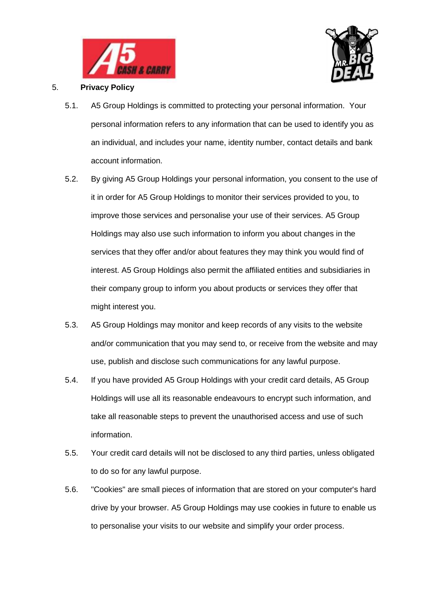



# 5. **Privacy Policy**

- 5.1. A5 Group Holdings is committed to protecting your personal information. Your personal information refers to any information that can be used to identify you as an individual, and includes your name, identity number, contact details and bank account information.
- 5.2. By giving A5 Group Holdings your personal information, you consent to the use of it in order for A5 Group Holdings to monitor their services provided to you, to improve those services and personalise your use of their services. A5 Group Holdings may also use such information to inform you about changes in the services that they offer and/or about features they may think you would find of interest. A5 Group Holdings also permit the affiliated entities and subsidiaries in their company group to inform you about products or services they offer that might interest you.
- 5.3. A5 Group Holdings may monitor and keep records of any visits to the website and/or communication that you may send to, or receive from the website and may use, publish and disclose such communications for any lawful purpose.
- 5.4. If you have provided A5 Group Holdings with your credit card details, A5 Group Holdings will use all its reasonable endeavours to encrypt such information, and take all reasonable steps to prevent the unauthorised access and use of such information.
- 5.5. Your credit card details will not be disclosed to any third parties, unless obligated to do so for any lawful purpose.
- 5.6. "Cookies" are small pieces of information that are stored on your computer's hard drive by your browser. A5 Group Holdings may use cookies in future to enable us to personalise your visits to our website and simplify your order process.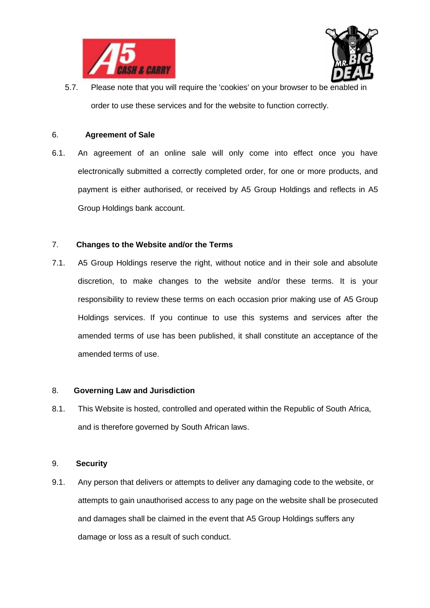



5.7. Please note that you will require the 'cookies' on your browser to be enabled in order to use these services and for the website to function correctly.

#### 6. **Agreement of Sale**

6.1. An agreement of an online sale will only come into effect once you have electronically submitted a correctly completed order, for one or more products, and payment is either authorised, or received by A5 Group Holdings and reflects in A5 Group Holdings bank account.

# 7. **Changes to the Website and/or the Terms**

7.1. A5 Group Holdings reserve the right, without notice and in their sole and absolute discretion, to make changes to the website and/or these terms. It is your responsibility to review these terms on each occasion prior making use of A5 Group Holdings services. If you continue to use this systems and services after the amended terms of use has been published, it shall constitute an acceptance of the amended terms of use.

# 8. **Governing Law and Jurisdiction**

8.1. This Website is hosted, controlled and operated within the Republic of South Africa, and is therefore governed by South African laws.

# 9. **Security**

9.1. Any person that delivers or attempts to deliver any damaging code to the website, or attempts to gain unauthorised access to any page on the website shall be prosecuted and damages shall be claimed in the event that A5 Group Holdings suffers any damage or loss as a result of such conduct.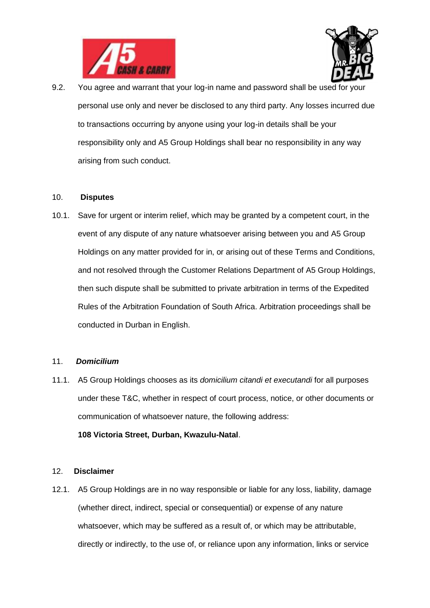



9.2. You agree and warrant that your log-in name and password shall be used for your personal use only and never be disclosed to any third party. Any losses incurred due to transactions occurring by anyone using your log-in details shall be your responsibility only and A5 Group Holdings shall bear no responsibility in any way arising from such conduct.

#### 10. **Disputes**

10.1. Save for urgent or interim relief, which may be granted by a competent court, in the event of any dispute of any nature whatsoever arising between you and A5 Group Holdings on any matter provided for in, or arising out of these Terms and Conditions, and not resolved through the Customer Relations Department of A5 Group Holdings, then such dispute shall be submitted to private arbitration in terms of the Expedited Rules of the Arbitration Foundation of South Africa. Arbitration proceedings shall be conducted in Durban in English.

#### 11. *Domicilium*

11.1. A5 Group Holdings chooses as its *domicilium citandi et executandi* for all purposes under these T&C, whether in respect of court process, notice, or other documents or communication of whatsoever nature, the following address:

#### **108 Victoria Street, Durban, Kwazulu-Natal**.

#### 12. **Disclaimer**

12.1. A5 Group Holdings are in no way responsible or liable for any loss, liability, damage (whether direct, indirect, special or consequential) or expense of any nature whatsoever, which may be suffered as a result of, or which may be attributable, directly or indirectly, to the use of, or reliance upon any information, links or service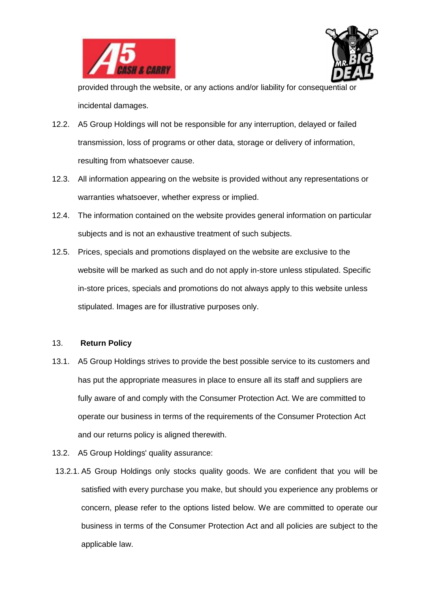



provided through the website, or any actions and/or liability for consequential or incidental damages.

- 12.2. A5 Group Holdings will not be responsible for any interruption, delayed or failed transmission, loss of programs or other data, storage or delivery of information, resulting from whatsoever cause.
- 12.3. All information appearing on the website is provided without any representations or warranties whatsoever, whether express or implied.
- 12.4. The information contained on the website provides general information on particular subjects and is not an exhaustive treatment of such subjects.
- 12.5. Prices, specials and promotions displayed on the website are exclusive to the website will be marked as such and do not apply in-store unless stipulated. Specific in-store prices, specials and promotions do not always apply to this website unless stipulated. Images are for illustrative purposes only.

#### 13. **Return Policy**

- 13.1. A5 Group Holdings strives to provide the best possible service to its customers and has put the appropriate measures in place to ensure all its staff and suppliers are fully aware of and comply with the Consumer Protection Act. We are committed to operate our business in terms of the requirements of the Consumer Protection Act and our returns policy is aligned therewith.
- 13.2. A5 Group Holdings' quality assurance:
- 13.2.1. A5 Group Holdings only stocks quality goods. We are confident that you will be satisfied with every purchase you make, but should you experience any problems or concern, please refer to the options listed below. We are committed to operate our business in terms of the Consumer Protection Act and all policies are subject to the applicable law.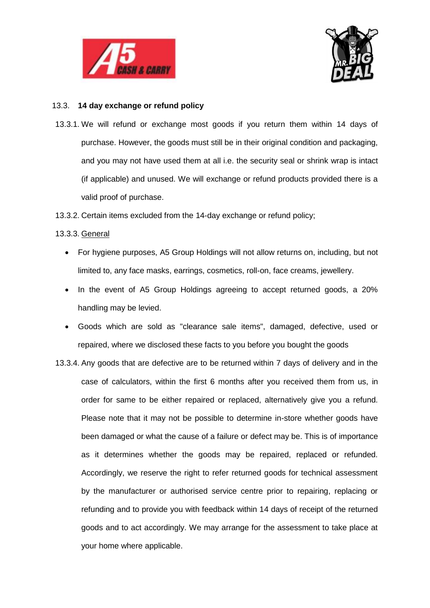



## 13.3. **14 day exchange or refund policy**

- 13.3.1. We will refund or exchange most goods if you return them within 14 days of purchase. However, the goods must still be in their original condition and packaging, and you may not have used them at all i.e. the security seal or shrink wrap is intact (if applicable) and unused. We will exchange or refund products provided there is a valid proof of purchase.
- 13.3.2. Certain items excluded from the 14-day exchange or refund policy;

# 13.3.3. General

- For hygiene purposes, A5 Group Holdings will not allow returns on, including, but not limited to, any face masks, earrings, cosmetics, roll-on, face creams, jewellery.
- In the event of A5 Group Holdings agreeing to accept returned goods, a 20% handling may be levied.
- Goods which are sold as "clearance sale items", damaged, defective, used or repaired, where we disclosed these facts to you before you bought the goods
- 13.3.4. Any goods that are defective are to be returned within 7 days of delivery and in the case of calculators, within the first 6 months after you received them from us, in order for same to be either repaired or replaced, alternatively give you a refund. Please note that it may not be possible to determine in-store whether goods have been damaged or what the cause of a failure or defect may be. This is of importance as it determines whether the goods may be repaired, replaced or refunded. Accordingly, we reserve the right to refer returned goods for technical assessment by the manufacturer or authorised service centre prior to repairing, replacing or refunding and to provide you with feedback within 14 days of receipt of the returned goods and to act accordingly. We may arrange for the assessment to take place at your home where applicable.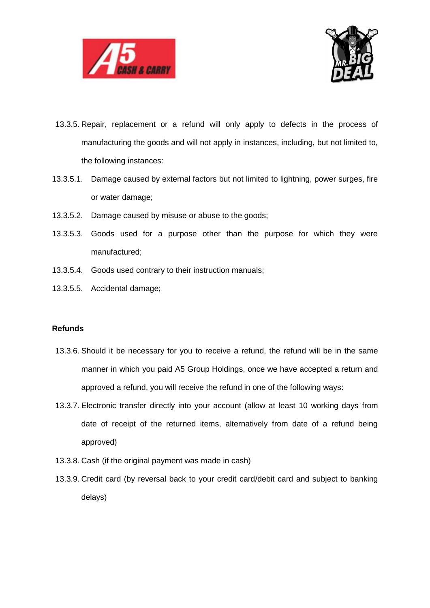



- 13.3.5. Repair, replacement or a refund will only apply to defects in the process of manufacturing the goods and will not apply in instances, including, but not limited to, the following instances:
- 13.3.5.1. Damage caused by external factors but not limited to lightning, power surges, fire or water damage;
- 13.3.5.2. Damage caused by misuse or abuse to the goods;
- 13.3.5.3. Goods used for a purpose other than the purpose for which they were manufactured;
- 13.3.5.4. Goods used contrary to their instruction manuals;
- 13.3.5.5. Accidental damage;

## **Refunds**

- 13.3.6. Should it be necessary for you to receive a refund, the refund will be in the same manner in which you paid A5 Group Holdings, once we have accepted a return and approved a refund, you will receive the refund in one of the following ways:
- 13.3.7. Electronic transfer directly into your account (allow at least 10 working days from date of receipt of the returned items, alternatively from date of a refund being approved)
- 13.3.8. Cash (if the original payment was made in cash)
- 13.3.9. Credit card (by reversal back to your credit card/debit card and subject to banking delays)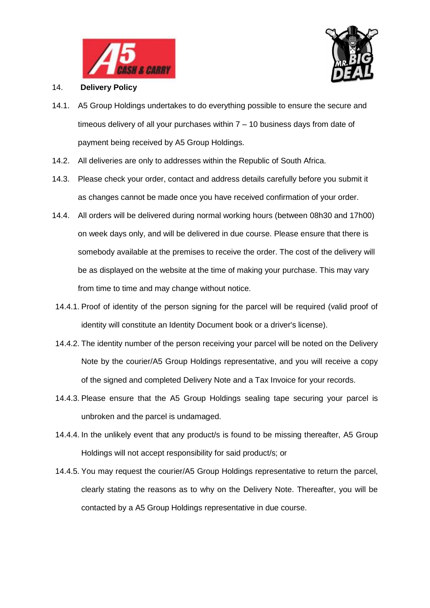



## 14. **Delivery Policy**

- 14.1. A5 Group Holdings undertakes to do everything possible to ensure the secure and timeous delivery of all your purchases within 7 – 10 business days from date of payment being received by A5 Group Holdings.
- 14.2. All deliveries are only to addresses within the Republic of South Africa.
- 14.3. Please check your order, contact and address details carefully before you submit it as changes cannot be made once you have received confirmation of your order.
- 14.4. All orders will be delivered during normal working hours (between 08h30 and 17h00) on week days only, and will be delivered in due course. Please ensure that there is somebody available at the premises to receive the order. The cost of the delivery will be as displayed on the website at the time of making your purchase. This may vary from time to time and may change without notice.
- 14.4.1. Proof of identity of the person signing for the parcel will be required (valid proof of identity will constitute an Identity Document book or a driver's license).
- 14.4.2. The identity number of the person receiving your parcel will be noted on the Delivery Note by the courier/A5 Group Holdings representative, and you will receive a copy of the signed and completed Delivery Note and a Tax Invoice for your records.
- 14.4.3. Please ensure that the A5 Group Holdings sealing tape securing your parcel is unbroken and the parcel is undamaged.
- 14.4.4. In the unlikely event that any product/s is found to be missing thereafter, A5 Group Holdings will not accept responsibility for said product/s; or
- 14.4.5. You may request the courier/A5 Group Holdings representative to return the parcel, clearly stating the reasons as to why on the Delivery Note. Thereafter, you will be contacted by a A5 Group Holdings representative in due course.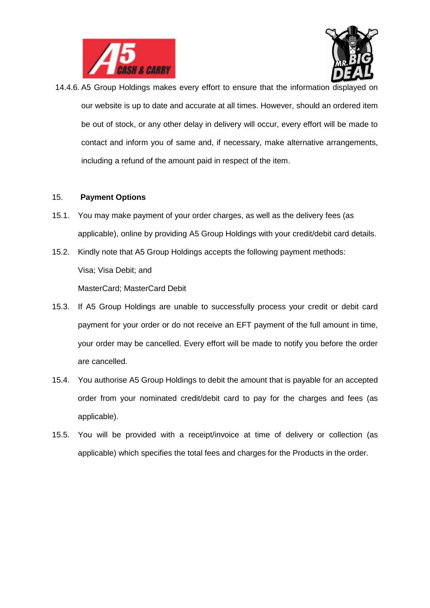



14.4.6. A5 Group Holdings makes every effort to ensure that the information displayed on our website is up to date and accurate at all times. However, should an ordered item be out of stock, or any other delay in delivery will occur, every effort will be made to contact and inform you of same and, if necessary, make alternative arrangements, including a refund of the amount paid in respect of the item.

#### 15. **Payment Options**

- 15.1. You may make payment of your order charges, as well as the delivery fees (as applicable), online by providing A5 Group Holdings with your credit/debit card details.
- 15.2. Kindly note that A5 Group Holdings accepts the following payment methods: Visa; Visa Debit; and MasterCard; MasterCard Debit
- 15.3. If A5 Group Holdings are unable to successfully process your credit or debit card payment for your order or do not receive an EFT payment of the full amount in time, your order may be cancelled. Every effort will be made to notify you before the order are cancelled.
- 15.4. You authorise A5 Group Holdings to debit the amount that is payable for an accepted order from your nominated credit/debit card to pay for the charges and fees (as applicable).
- 15.5. You will be provided with a receipt/invoice at time of delivery or collection (as applicable) which specifies the total fees and charges for the Products in the order.